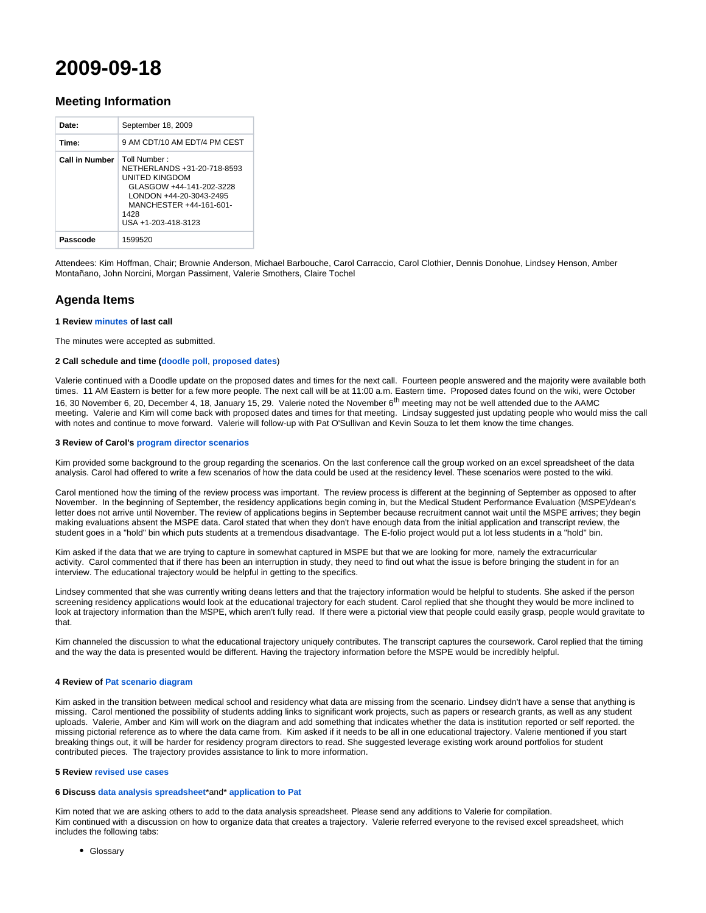# **2009-09-18**

# **Meeting Information**

| Date:                 | September 18, 2009                                                                                                                                                              |
|-----------------------|---------------------------------------------------------------------------------------------------------------------------------------------------------------------------------|
| Time:                 | 9 AM CDT/10 AM EDT/4 PM CEST                                                                                                                                                    |
| <b>Call in Number</b> | Toll Number ·<br>NETHERLANDS +31-20-718-8593<br>UNITED KINGDOM<br>GLASGOW +44-141-202-3228<br>LONDON +44-20-3043-2495<br>MANCHESTER +44-161-601-<br>1428<br>USA +1-203-418-3123 |
| Passcode              | 1599520                                                                                                                                                                         |

Attendees: Kim Hoffman, Chair; Brownie Anderson, Michael Barbouche, Carol Carraccio, Carol Clothier, Dennis Donohue, Lindsey Henson, Amber Montañano, John Norcini, Morgan Passiment, Valerie Smothers, Claire Tochel

# **Agenda Items**

## **1 Review [minutes](http://groups.medbiq.org/medbiq/display/ET/2009-09-11) of last call**

The minutes were accepted as submitted.

## **2 Call schedule and time [\(doodle poll](http://www.doodle.com/participation.html?pollId=arwbp5wev2k97ax5)**, **[proposed dates](http://groups.medbiq.org/medbiq/display/ET/Proposed+dates%2C+Fall+2009)**)

Valerie continued with a Doodle update on the proposed dates and times for the next call. Fourteen people answered and the majority were available both times. 11 AM Eastern is better for a few more people. The next call will be at 11:00 a.m. Eastern time. Proposed dates found on the wiki, were October 16, 30 November 6, 20, December 4, 18, January 15, 29. Valerie noted the November 6<sup>th</sup> meeting may not be well attended due to the AAMC meeting. Valerie and Kim will come back with proposed dates and times for that meeting. Lindsay suggested just updating people who would miss the call with notes and continue to move forward. Valerie will follow-up with Pat O'Sullivan and Kevin Souza to let them know the time changes.

#### **3 Review of Carol's [program director scenarios](http://groups.medbiq.org/medbiq/display/ET/Residency+Program+Director+Scenarios)**

Kim provided some background to the group regarding the scenarios. On the last conference call the group worked on an excel spreadsheet of the data analysis. Carol had offered to write a few scenarios of how the data could be used at the residency level. These scenarios were posted to the wiki.

Carol mentioned how the timing of the review process was important. The review process is different at the beginning of September as opposed to after November. In the beginning of September, the residency applications begin coming in, but the Medical Student Performance Evaluation (MSPE)/dean's letter does not arrive until November. The review of applications begins in September because recruitment cannot wait until the MSPE arrives; they begin making evaluations absent the MSPE data. Carol stated that when they don't have enough data from the initial application and transcript review, the student goes in a "hold" bin which puts students at a tremendous disadvantage. The E-folio project would put a lot less students in a "hold" bin.

Kim asked if the data that we are trying to capture in somewhat captured in MSPE but that we are looking for more, namely the extracurricular activity. Carol commented that if there has been an interruption in study, they need to find out what the issue is before bringing the student in for an interview. The educational trajectory would be helpful in getting to the specifics.

Lindsey commented that she was currently writing deans letters and that the trajectory information would be helpful to students. She asked if the person screening residency applications would look at the educational trajectory for each student. Carol replied that she thought they would be more inclined to look at trajectory information than the MSPE, which aren't fully read. If there were a pictorial view that people could easily grasp, people would gravitate to that.

Kim channeled the discussion to what the educational trajectory uniquely contributes. The transcript captures the coursework. Carol replied that the timing and the way the data is presented would be different. Having the trajectory information before the MSPE would be incredibly helpful.

## **4 Review of [Pat scenario diagram](http://groups.medbiq.org/medbiq/download/attachments/7405830/trajectory.ppt?version=1&modificationDate=1252941464000&api=v2)**

Kim asked in the transition between medical school and residency what data are missing from the scenario. Lindsey didn't have a sense that anything is missing. Carol mentioned the possibility of students adding links to significant work projects, such as papers or research grants, as well as any student uploads. Valerie, Amber and Kim will work on the diagram and add something that indicates whether the data is institution reported or self reported. the missing pictorial reference as to where the data came from. Kim asked if it needs to be all in one educational trajectory. Valerie mentioned if you start breaking things out, it will be harder for residency program directors to read. She suggested leverage existing work around portfolios for student contributed pieces. The trajectory provides assistance to link to more information.

#### **5 Review [revised use cases](http://groups.medbiq.org/medbiq/display/ET/Use+Cases)**

#### **6 Discuss [data analysis spreadsheet](http://groups.medbiq.org/medbiq/download/attachments/7405919/EducationalTrajectory_Data_Analysis_15Sep2009.xls?version=1&modificationDate=1253107339000&api=v2)**\*and\* **[application to Pat](http://groups.medbiq.org/medbiq/download/attachments/7405830/Pat_Trajectory.xls?version=1&modificationDate=1252944949000&api=v2)**

Kim noted that we are asking others to add to the data analysis spreadsheet. Please send any additions to Valerie for compilation. Kim continued with a discussion on how to organize data that creates a trajectory. Valerie referred everyone to the revised excel spreadsheet, which includes the following tabs:

Glossary